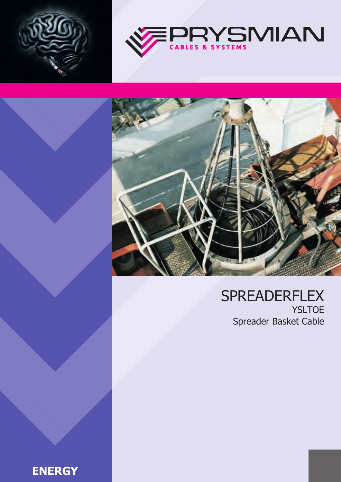





## SPREADERFLEX YSLTOE Spreader Basket Cable

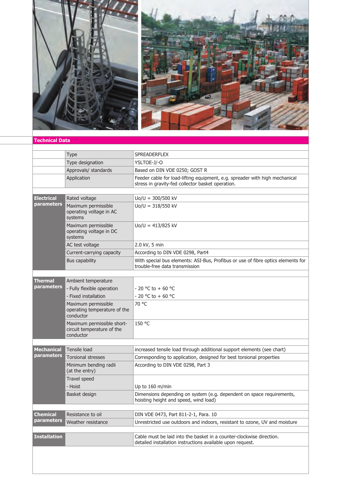

## **Technical Data**

|                                 | <b>Type</b>                                                           | <b>SPREADERFLEX</b>                                                                                                                |  |  |  |  |  |
|---------------------------------|-----------------------------------------------------------------------|------------------------------------------------------------------------------------------------------------------------------------|--|--|--|--|--|
|                                 | Type designation                                                      | YSLTOE-J/-O                                                                                                                        |  |  |  |  |  |
|                                 | Approvals/ standards                                                  | Based on DIN VDE 0250; GOST R                                                                                                      |  |  |  |  |  |
|                                 | Application                                                           | Feeder cable for load-lifting equipment, e.g. spreader with high mechanical<br>stress in gravity-fed collector basket operation.   |  |  |  |  |  |
|                                 |                                                                       |                                                                                                                                    |  |  |  |  |  |
| <b>Electrical</b><br>parameters | Rated voltage                                                         | $Uo/U = 300/500$ kV                                                                                                                |  |  |  |  |  |
|                                 | Maximum permissible<br>operating voltage in AC<br>systems             | $Uo/U = 318/550$ kV                                                                                                                |  |  |  |  |  |
|                                 | Maximum permissible<br>operating voltage in DC<br>systems             | $U_0/U = 413/825$ kV                                                                                                               |  |  |  |  |  |
|                                 | AC test voltage                                                       | 2.0 kV, 5 min                                                                                                                      |  |  |  |  |  |
|                                 | Current-carrying capacity                                             | According to DIN VDE 0298, Part4                                                                                                   |  |  |  |  |  |
|                                 | <b>Bus capability</b>                                                 | With special bus elements: ASI-Bus, Profibus or use of fibre optics elements for<br>trouble-free data transmission                 |  |  |  |  |  |
|                                 |                                                                       |                                                                                                                                    |  |  |  |  |  |
| <b>Thermal</b>                  | Ambient temperature                                                   |                                                                                                                                    |  |  |  |  |  |
| parameters                      | - Fully flexible operation                                            | - 20 °C to + 60 °C                                                                                                                 |  |  |  |  |  |
|                                 | - Fixed installation                                                  | - 20 °C to + 60 °C                                                                                                                 |  |  |  |  |  |
|                                 | Maximum permissible<br>operating temperature of the<br>conductor      | 70 °C                                                                                                                              |  |  |  |  |  |
|                                 | Maximum permissible short-<br>circuit temperature of the<br>conductor | 150 °C                                                                                                                             |  |  |  |  |  |
|                                 |                                                                       |                                                                                                                                    |  |  |  |  |  |
| <b>Mechanical</b>               | Tensile load                                                          | increased tensile load through additional support elements (see chart)                                                             |  |  |  |  |  |
| parameters                      | <b>Torsional stresses</b>                                             | Corresponding to application, designed for best torsional properties                                                               |  |  |  |  |  |
|                                 | Minimum bending radii<br>(at the entry)                               | According to DIN VDE 0298, Part 3                                                                                                  |  |  |  |  |  |
|                                 | Travel speed                                                          |                                                                                                                                    |  |  |  |  |  |
|                                 | - Hoist                                                               | Up to 160 m/min                                                                                                                    |  |  |  |  |  |
|                                 | Basket design                                                         | Dimensions depending on system (e.g. dependent on space requirements,<br>hoisting height and speed, wind load)                     |  |  |  |  |  |
|                                 |                                                                       |                                                                                                                                    |  |  |  |  |  |
| <b>Chemical</b>                 | Resistance to oil                                                     | DIN VDE 0473, Part 811-2-1, Para. 10                                                                                               |  |  |  |  |  |
| parameters                      | Weather resistance                                                    | Unrestricted use outdoors and indoors, resistant to ozone, UV and moisture                                                         |  |  |  |  |  |
|                                 |                                                                       |                                                                                                                                    |  |  |  |  |  |
| <b>Installation</b>             |                                                                       | Cable must be laid into the basket in a counter-clockwise direction.<br>detailed installation instructions available upon request. |  |  |  |  |  |
|                                 |                                                                       |                                                                                                                                    |  |  |  |  |  |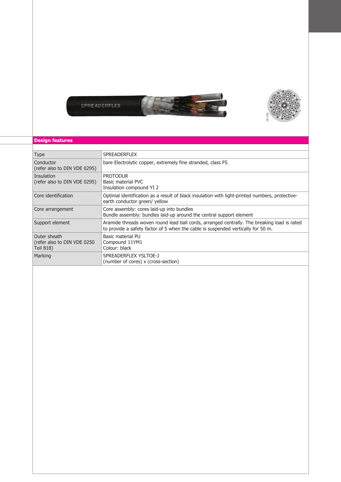



## **Design features**

| <b>Type</b>                                               | <b>SPREADERFLEX</b>                                                                                                                                                             |
|-----------------------------------------------------------|---------------------------------------------------------------------------------------------------------------------------------------------------------------------------------|
| Conductor<br>(refer also to DIN VDE 0295)                 | bare Electrolytic copper, extremely fine stranded, class FS                                                                                                                     |
| Insulation<br>(refer also to DIN VDE 0295)                | <b>PROTODUR</b><br>Basic material PVC<br>Insulation compound YI 2                                                                                                               |
| Core identification                                       | Optimal identification as a result of black insulation with light-printed numbers, protective-<br>earth conductor green/ yellow                                                 |
| Core arrangement                                          | Core assembly: cores laid-up into bundles<br>Bundle assembly: bundles laid-up around the central support element                                                                |
| Support element                                           | Aramide threads woven round lead ball cords, arranged centrally. The breaking load is rated<br>to provide a safety factor of 5 when the cable is suspended vertically for 50 m. |
| Outer sheath<br>(refer also to DIN VDE 0250)<br>Teil 818) | Basic material PU<br>Compound 11YM1<br>Colour: black                                                                                                                            |
| Marking                                                   | SPREADERFLEX YSLTOE-J<br>(number of cores) x (cross-section)                                                                                                                    |